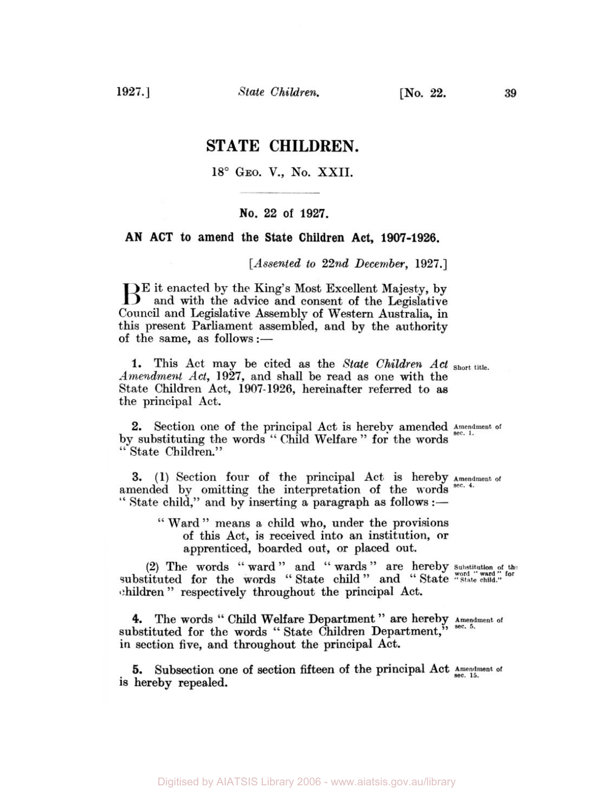# **STATE CHILDREN.**

## 18° GEO. V., No. XXII.

### **No. 22 of 1927.**

## **AN ACT to amend the State Children Act, 1907-1926.**

**[Assented** *to* **22nd December, 1927.]** 

BE it enacted by the King's Most Excellent Majesty, by and with the advice and consent of the Legislative Council and Legislative Assembly of Western Australia, in this present Parliament assembled, and by the authority of the same, as follows :-

**1.** This Act may be cited as the *State Children Act Short title. Amendment Act,* **1927,** and shall be read as one with the State Children Act, **1907-1926,** hereinafter referred to **as**  the principal Act.

by substituting the words " Child Welfare " for the words '' State Children." 2. Section one of the principal Act is hereby amended Amendment of

**3. (1)** Section four of the principal Act is hereby **Amendment of**  amended by omitting the interpretation of the words **sec. 4.** " State child," and by inserting a paragraph as follows :—

> " Ward" means a child who, under the provisions of this Act, is received into an institution, **or**  apprenticed, boarded out, or placed out.

**(2)** The words " ward " and " wards " are hereby **Substitution of the**  (2) The words "ward" and "wards" are nereby substitution of the substituted for the words "State child" and "State "State child." children " respectively throughout the principal Act.

**4.** The words " Child Welfare Department " **are** hereby **Amendment of**  4. The words "Child Welfare Department" are nereby Amend substituted for the words "State Children Department," sec. 5. in section five, and throughout the principal Act.

is hereby repealed. **5.** Subsection one of section fifteen of the principal Act **Amendment** of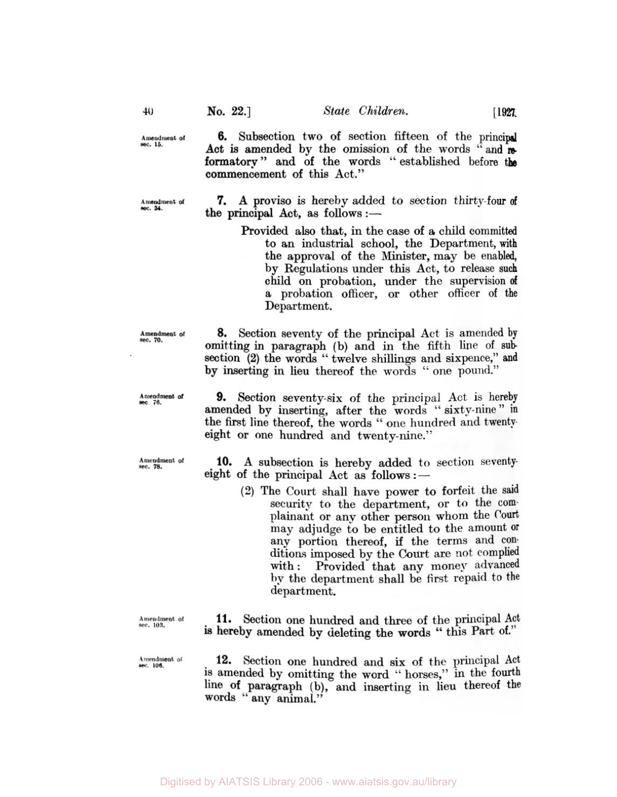commencement **of** this Act."

**6.** Subsection two **of** section fifteen **of** the principal *Act* **is** amended by the omission **of** the **words "and** *re*formatory" and of the words "established before the

**Amendment of sec. 15.** 

**Amendment of sec. 34.** 

**7. A** proviso is hereby added *to* section thirty-four **of**  the principal Act, as follows:—

> Provided **also** that, in the case **of a** child committed to an industrial school, the Department, with the approval of the Minister, may be enabled, by Regulations under this Act, to release such child on probation, under the supervision **of**  a probation officer, or other officer of the Department.

*8.* Section seventy of the principal Act is amended by omitting in paragraph **(b)** and in the fifth line of sub section **(2)** the words **''** twelve shillings and sixpence," **and**  by inserting in lieu thereof the words " one pound.''

**Amendment** *of* **sec 76.** 

**Amendment of** *sec. 70.* 

**Amendment of sec.** *78.* 

**Amendment of sec. 103.** 

Amendment of sec. 106.

**9.** Section seventy-six of the principal Act is hereby amended **by** inserting, after the words '' sixty-nine" **in**  the first line thereof, the words " one hundred and twentyeight or one hundred and twenty-nine."

**10. A** subsection is hereby added to section seventy eight **of** the principal Act as follows :

> **(2)** The **Court** shall have power to forfeit the said security to the department, **or** to the complainant or any other person whom the Court **may** adjudge to be entitled to the amount **or**  any portion thereof, if the terms and **con**ditions imposed by the Court are not complied with: Provided that any money advanced the department shall be first repaid to the department.

**11.** Section one hundred and three **of** the principal Act **is** hereby amended by deleting the words " this **Part Of."** 

**12.** Section one hundred and six of the principal **Act**  is amended **by** omitting the word " horses," in the **fourth**  line **of** paragraph (b), and inserting in lieu thereof the **words "any** animal.''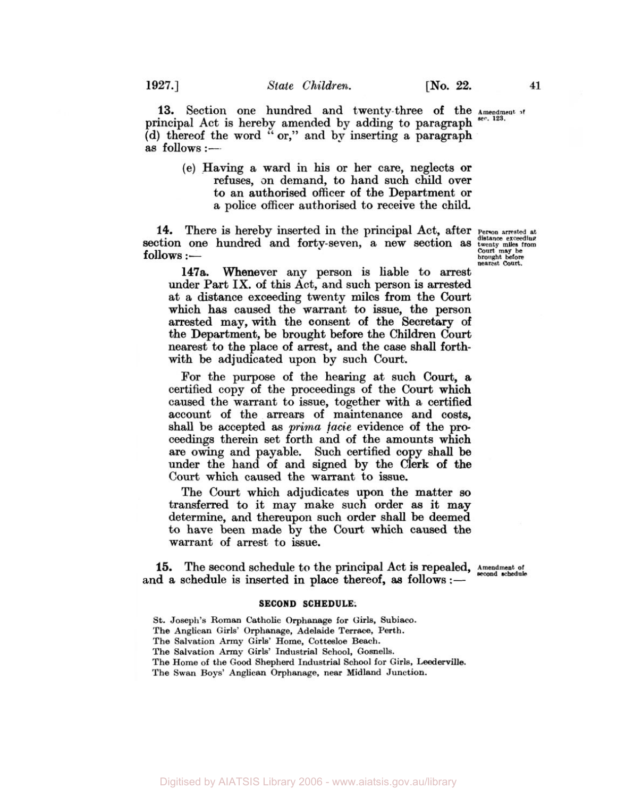13. Section one hundred and twenty-three of the Amendment of principal Act is hereby amended by adding to paragraph (d) thereof the word "or," and by inserting a paragraph as follows:-**123.** 

(e) Having a ward in his or her care, neglects or refuses, on demand, to hand such child over to an authorised officer of the Department or a police officer authorised to receive the child.

**14.** There is hereby inserted in the principal Act, after **Person arrested at Section** one hundred and forty-seven, a new section as **twenty miles** from Section one nundred and forty-seven, a new section as twenty may be<br>
follows :-

Person arrested at distance exceeding<br>distance exceeding<br>twenty miles from<br>Court may be<br>brought before<br>nearest Court.

**147a.** Whenever any person is liable to arrest under Part IX. of this Act, and such person is arrested at *a* distance exceeding twenty miles from the Court which has caused the warrant **to** issue, the person arrested may, with the consent of the Secretary of the Department, be brought before the Children Court nearest to the place of arrest, and the case shall forthwith be adjudicated upon by such **Court.** 

For the purpose of the hearing at such **Court,** a certified copy of the proceedings of the **Court** which caused the warrant to issue, together with a certified account of the arrears of maintenance and costs, shall be accepted **as** *prima facie* evidence of the proceedings therein set forth and of the amounts which are owing and payable. Such certified copy shall be under the hand of and signed by the Clerk of the Court which caused the warrant **to** issue.

The Court which adjudicates upon the matter so transferred *to* it may make such order **as** it may determine, and thereupon such order shall be deemed to have been made by the **Court** which caused the warrant of arrest to issue.

15. The second schedule to the principal Act is repealed, Amendment of **accord** schedule and a schedule is inserted in place thereof, as follows: $-$ 

#### **SECOND SCHEDULE:**

**St. Joseph's Roman catholic 0rphanage for Girls, Subiaco. The Anglican Girls' Orphanage, Adelaide Terrace, Perth. The Salvation Army Girls' Home, Cottesloe Beach. The Salvation Army Girls' Industrial School, Gosnells. The Home of the Good Shepherd Industrial School for Girls, Leederville. The Swan Boys' Anglican Orphanage, near Midland Junction.**